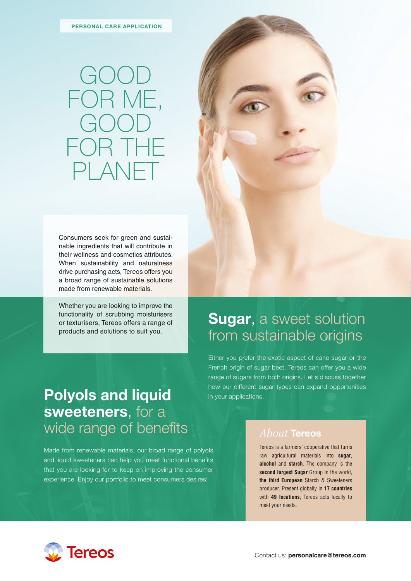## GOOD FOR ME, GOOD FOR THE PLANE

Consumers seek for green and sustainable ingredients that will contribute in their wellness and cosmetics attributes. When sustainability and naturalness drive purchasing acts, Tereos offers you a broad range of sustainable solutions made from renewable materials.

Whether you are looking to improve the functionality of scrubbing moisturisers or texturisers, Tereos offers a range of products and solutions to suit you.



### **Sugar**, a sweet solution from sustainable origins

Either you prefer the exotic aspect of cane sugar or the French origin of sugar beet, Tereos can offer you a wide range of sugars from both origins. Let's discuss together how our different sugar types can expand opportunities in your applications.

## **Polyols and liquid sweeteners**, for a wide range of benefits

Made from renewable materials, our broad range of polyols and liquid sweeteners can help you meet functional benefits that you are looking for to keep on improving the consumer experience. Enjoy our portfolio to meet consumers desires!

*About* **Tereos**

Tereos is a farmers' cooperative that turns raw agricultural materials into **sugar, alcohol** and **starch**. The company is the **second largest Sugar** Group in the world, **the third European** Starch & Sweeteners producer. Present globally in **17 countries** with **49 locations**, Tereos acts locally to meet your needs.